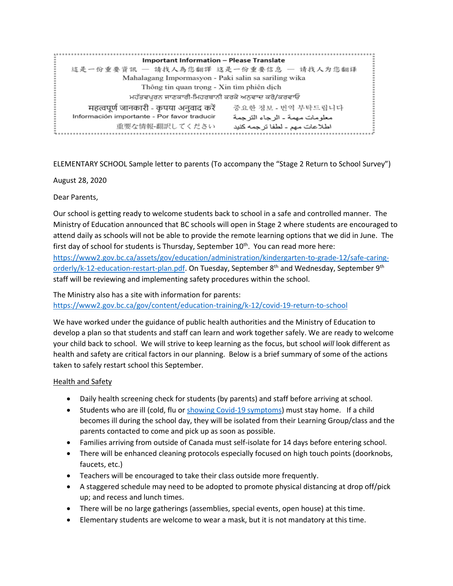| <b>Important Information - Please Translate</b>                                 |  |  |  |
|---------------------------------------------------------------------------------|--|--|--|
| 這是一份重要資訊 — 請找人為您翻譯 这是一份重要信息 — 请找人为您翻译                                           |  |  |  |
| Mahalagang Impormasyon - Paki salin sa sariling wika                            |  |  |  |
| Thông tin quan trọng - Xin tìm phiên dịch                                       |  |  |  |
| ਮਹੱਤਵਪੂਰਨ ਜਾਣਕਾਰੀ-ਮਿਹਰਬਾਨੀ ਕਰਕੇ ਅਨੁਵਾਦ ਕਰੋ/ਕਰਵਾਓ                                |  |  |  |
| महत्वपूर्ण जानकारी - कृपया अनुवाद करें<br>중요하 정보 - 번역 부탁드립니다                    |  |  |  |
| Información importante - Por favor traducir<br>معلو مات مهمة ـ الر جاء التر جمة |  |  |  |
| 重要な情報-翻訳してください<br>اطلاعات مهم - لطفا ترجمه كنيد                                 |  |  |  |

ELEMENTARY SCHOOL Sample letter to parents (To accompany the "Stage 2 Return to School Survey")

August 28, 2020

Dear Parents,

Our school is getting ready to welcome students back to school in a safe and controlled manner. The Ministry of Education announced that BC schools will open in Stage 2 where students are encouraged to attend daily as schools will not be able to provide the remote learning options that we did in June. The first day of school for students is Thursday, September  $10<sup>th</sup>$ . You can read more here: [https://www2.gov.bc.ca/assets/gov/education/administration/kindergarten-to-grade-12/safe-caring](https://www2.gov.bc.ca/assets/gov/education/administration/kindergarten-to-grade-12/safe-caring-orderly/k-12-education-restart-plan.pdf)[orderly/k-12-education-restart-plan.pdf.](https://www2.gov.bc.ca/assets/gov/education/administration/kindergarten-to-grade-12/safe-caring-orderly/k-12-education-restart-plan.pdf) On Tuesday, September 8<sup>th</sup> and Wednesday, September 9<sup>th</sup> staff will be reviewing and implementing safety procedures within the school.

The Ministry also has a site with information for parents: <https://www2.gov.bc.ca/gov/content/education-training/k-12/covid-19-return-to-school>

We have worked under the guidance of public health authorities and the Ministry of Education to develop a plan so that students and staff can learn and work together safely. We are ready to welcome your child back to school. We will strive to keep learning as the focus, but school *will* look different as health and safety are critical factors in our planning. Below is a brief summary of some of the actions taken to safely restart school this September.

#### Health and Safety

- Daily health screening check for students (by parents) and staff before arriving at school.
- Students who are ill (cold, flu o[r showing Covid-19 symptoms\)](http://www.bccdc.ca/health-info/diseases-conditions/covid-19/about-covid-19/symptoms) must stay home. If a child becomes ill during the school day, they will be isolated from their Learning Group/class and the parents contacted to come and pick up as soon as possible.
- Families arriving from outside of Canada must self-isolate for 14 days before entering school.
- There will be enhanced cleaning protocols especially focused on high touch points (doorknobs, faucets, etc.)
- Teachers will be encouraged to take their class outside more frequently.
- A staggered schedule may need to be adopted to promote physical distancing at drop off/pick up; and recess and lunch times.
- There will be no large gatherings (assemblies, special events, open house) at this time.
- Elementary students are welcome to wear a mask, but it is not mandatory at this time.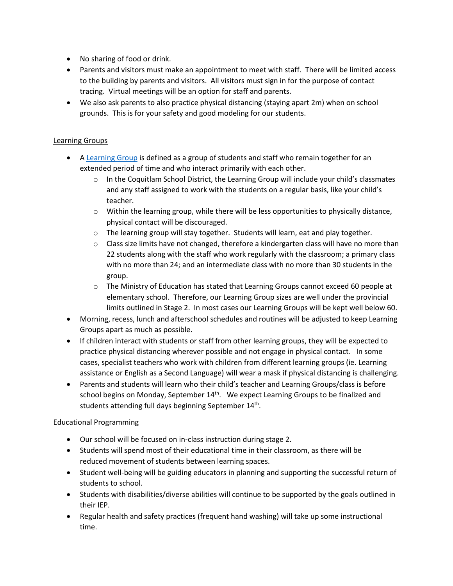- No sharing of food or drink.
- Parents and visitors must make an appointment to meet with staff. There will be limited access to the building by parents and visitors. All visitors must sign in for the purpose of contact tracing. Virtual meetings will be an option for staff and parents.
- We also ask parents to also practice physical distancing (staying apart 2m) when on school grounds. This is for your safety and good modeling for our students.

# Learning Groups

- A [Learning Group](https://www2.gov.bc.ca/gov/content/education-training/k-12/covid-19-return-to-school#learning-group) is defined as a group of students and staff who remain together for an extended period of time and who interact primarily with each other.
	- $\circ$  In the Coquitlam School District, the Learning Group will include your child's classmates and any staff assigned to work with the students on a regular basis, like your child's teacher.
	- o Within the learning group, while there will be less opportunities to physically distance, physical contact will be discouraged.
	- o The learning group will stay together. Students will learn, eat and play together.
	- $\circ$  Class size limits have not changed, therefore a kindergarten class will have no more than 22 students along with the staff who work regularly with the classroom; a primary class with no more than 24; and an intermediate class with no more than 30 students in the group.
	- $\circ$  The Ministry of Education has stated that Learning Groups cannot exceed 60 people at elementary school. Therefore, our Learning Group sizes are well under the provincial limits outlined in Stage 2. In most cases our Learning Groups will be kept well below 60.
- Morning, recess, lunch and afterschool schedules and routines will be adjusted to keep Learning Groups apart as much as possible.
- If children interact with students or staff from other learning groups, they will be expected to practice physical distancing wherever possible and not engage in physical contact. In some cases, specialist teachers who work with children from different learning groups (ie. Learning assistance or English as a Second Language) will wear a mask if physical distancing is challenging.
- Parents and students will learn who their child's teacher and Learning Groups/class is before school begins on Monday, September 14<sup>th</sup>. We expect Learning Groups to be finalized and students attending full days beginning September 14<sup>th</sup>.

#### Educational Programming

- Our school will be focused on in-class instruction during stage 2.
- Students will spend most of their educational time in their classroom, as there will be reduced movement of students between learning spaces.
- Student well-being will be guiding educators in planning and supporting the successful return of students to school.
- Students with disabilities/diverse abilities will continue to be supported by the goals outlined in their IEP.
- Regular health and safety practices (frequent hand washing) will take up some instructional time.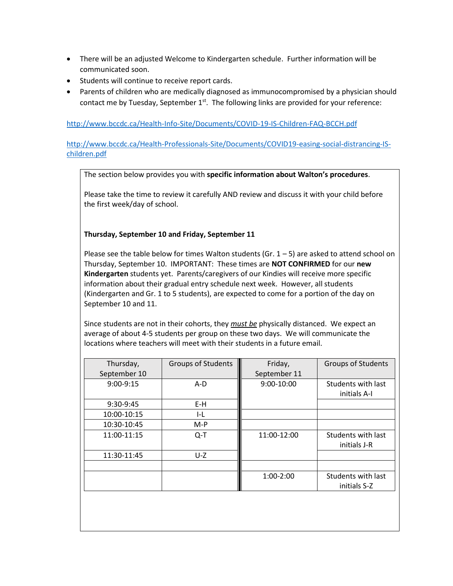- There will be an adjusted Welcome to Kindergarten schedule. Further information will be communicated soon.
- Students will continue to receive report cards.
- Parents of children who are medically diagnosed as immunocompromised by a physician should contact me by Tuesday, September 1<sup>st</sup>. The following links are provided for your reference:

<http://www.bccdc.ca/Health-Info-Site/Documents/COVID-19-IS-Children-FAQ-BCCH.pdf>

[http://www.bccdc.ca/Health-Professionals-Site/Documents/COVID19-easing-social-distrancing-IS](http://www.bccdc.ca/Health-Professionals-Site/Documents/COVID19-easing-social-distrancing-IS-children.pdf)[children.pdf](http://www.bccdc.ca/Health-Professionals-Site/Documents/COVID19-easing-social-distrancing-IS-children.pdf)

The section below provides you with **specific information about Walton's procedures**.

Please take the time to review it carefully AND review and discuss it with your child before the first week/day of school.

## **Thursday, September 10 and Friday, September 11**

Please see the table below for times Walton students (Gr.  $1 - 5$ ) are asked to attend school on Thursday, September 10. IMPORTANT: These times are **NOT CONFIRMED** for our **new Kindergarten** students yet. Parents/caregivers of our Kindies will receive more specific information about their gradual entry schedule next week. However, all students (Kindergarten and Gr. 1 to 5 students), are expected to come for a portion of the day on September 10 and 11.

Since students are not in their cohorts, they *must be* physically distanced. We expect an average of about 4-5 students per group on these two days. We will communicate the locations where teachers will meet with their students in a future email.

| Thursday,    | <b>Groups of Students</b> | Friday,      | <b>Groups of Students</b> |
|--------------|---------------------------|--------------|---------------------------|
| September 10 |                           | September 11 |                           |
| 9:00-9:15    | A-D                       | 9:00-10:00   | Students with last        |
|              |                           |              | initials A-I              |
| 9:30-9:45    | $E-H$                     |              |                           |
| 10:00-10:15  | I-L                       |              |                           |
| 10:30-10:45  | $M-P$                     |              |                           |
| 11:00-11:15  | $Q-T$                     | 11:00-12:00  | Students with last        |
|              |                           |              | initials J-R              |
| 11:30-11:45  | $U-Z$                     |              |                           |
|              |                           |              |                           |
|              |                           | 1:00-2:00    | Students with last        |
|              |                           |              | initials S-Z              |
|              |                           |              |                           |
|              |                           |              |                           |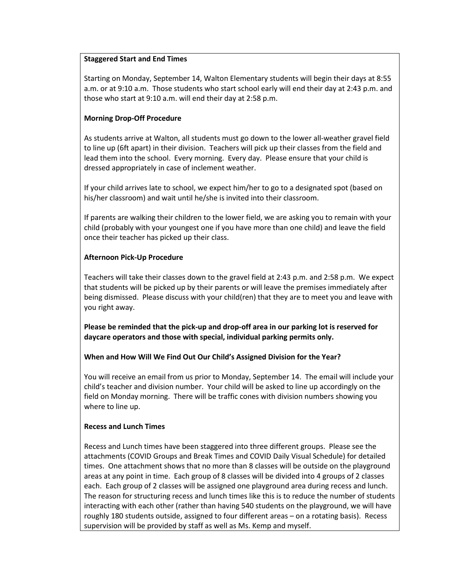### **Staggered Start and End Times**

Starting on Monday, September 14, Walton Elementary students will begin their days at 8:55 a.m. or at 9:10 a.m. Those students who start school early will end their day at 2:43 p.m. and those who start at 9:10 a.m. will end their day at 2:58 p.m.

# **Morning Drop-Off Procedure**

As students arrive at Walton, all students must go down to the lower all-weather gravel field to line up (6ft apart) in their division. Teachers will pick up their classes from the field and lead them into the school. Every morning. Every day. Please ensure that your child is dressed appropriately in case of inclement weather.

If your child arrives late to school, we expect him/her to go to a designated spot (based on his/her classroom) and wait until he/she is invited into their classroom.

If parents are walking their children to the lower field, we are asking you to remain with your child (probably with your youngest one if you have more than one child) and leave the field once their teacher has picked up their class.

## **Afternoon Pick-Up Procedure**

Teachers will take their classes down to the gravel field at 2:43 p.m. and 2:58 p.m. We expect that students will be picked up by their parents or will leave the premises immediately after being dismissed. Please discuss with your child(ren) that they are to meet you and leave with you right away.

**Please be reminded that the pick-up and drop-off area in our parking lot is reserved for daycare operators and those with special, individual parking permits only.**

#### **When and How Will We Find Out Our Child's Assigned Division for the Year?**

You will receive an email from us prior to Monday, September 14. The email will include your child's teacher and division number. Your child will be asked to line up accordingly on the field on Monday morning. There will be traffic cones with division numbers showing you where to line up.

#### **Recess and Lunch Times**

Recess and Lunch times have been staggered into three different groups. Please see the attachments (COVID Groups and Break Times and COVID Daily Visual Schedule) for detailed times. One attachment shows that no more than 8 classes will be outside on the playground areas at any point in time. Each group of 8 classes will be divided into 4 groups of 2 classes each. Each group of 2 classes will be assigned one playground area during recess and lunch. The reason for structuring recess and lunch times like this is to reduce the number of students interacting with each other (rather than having 540 students on the playground, we will have roughly 180 students outside, assigned to four different areas – on a rotating basis). Recess supervision will be provided by staff as well as Ms. Kemp and myself.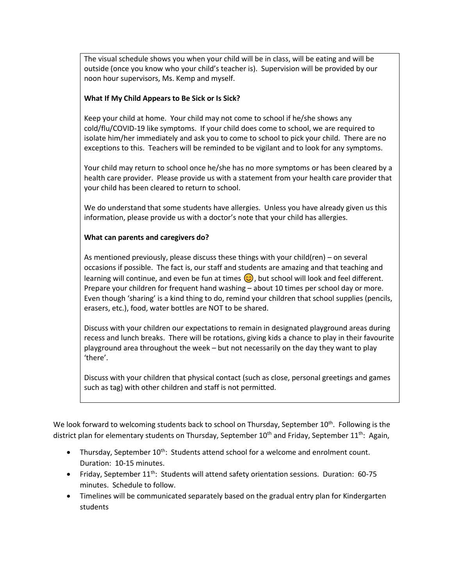The visual schedule shows you when your child will be in class, will be eating and will be outside (once you know who your child's teacher is). Supervision will be provided by our noon hour supervisors, Ms. Kemp and myself.

## **What If My Child Appears to Be Sick or Is Sick?**

Keep your child at home. Your child may not come to school if he/she shows any cold/flu/COVID-19 like symptoms. If your child does come to school, we are required to isolate him/her immediately and ask you to come to school to pick your child. There are no exceptions to this. Teachers will be reminded to be vigilant and to look for any symptoms.

Your child may return to school once he/she has no more symptoms or has been cleared by a health care provider. Please provide us with a statement from your health care provider that your child has been cleared to return to school.

We do understand that some students have allergies. Unless you have already given us this information, please provide us with a doctor's note that your child has allergies.

## **What can parents and caregivers do?**

As mentioned previously, please discuss these things with your child(ren) – on several occasions if possible. The fact is, our staff and students are amazing and that teaching and learning will continue, and even be fun at times  $\bigodot$ , but school will look and feel different. Prepare your children for frequent hand washing – about 10 times per school day or more. Even though 'sharing' is a kind thing to do, remind your children that school supplies (pencils, erasers, etc.), food, water bottles are NOT to be shared.

Discuss with your children our expectations to remain in designated playground areas during recess and lunch breaks. There will be rotations, giving kids a chance to play in their favourite playground area throughout the week – but not necessarily on the day they want to play 'there'.

Discuss with your children that physical contact (such as close, personal greetings and games such as tag) with other children and staff is not permitted.

We look forward to welcoming students back to school on Thursday, September  $10^{th}$ . Following is the district plan for elementary students on Thursday, September  $10<sup>th</sup>$  and Friday, September  $11<sup>th</sup>$ : Again,

- Thursday, September  $10^{th}$ : Students attend school for a welcome and enrolment count. Duration: 10-15 minutes.
- Friday, September  $11^{th}$ : Students will attend safety orientation sessions. Duration: 60-75 minutes. Schedule to follow.
- Timelines will be communicated separately based on the gradual entry plan for Kindergarten students